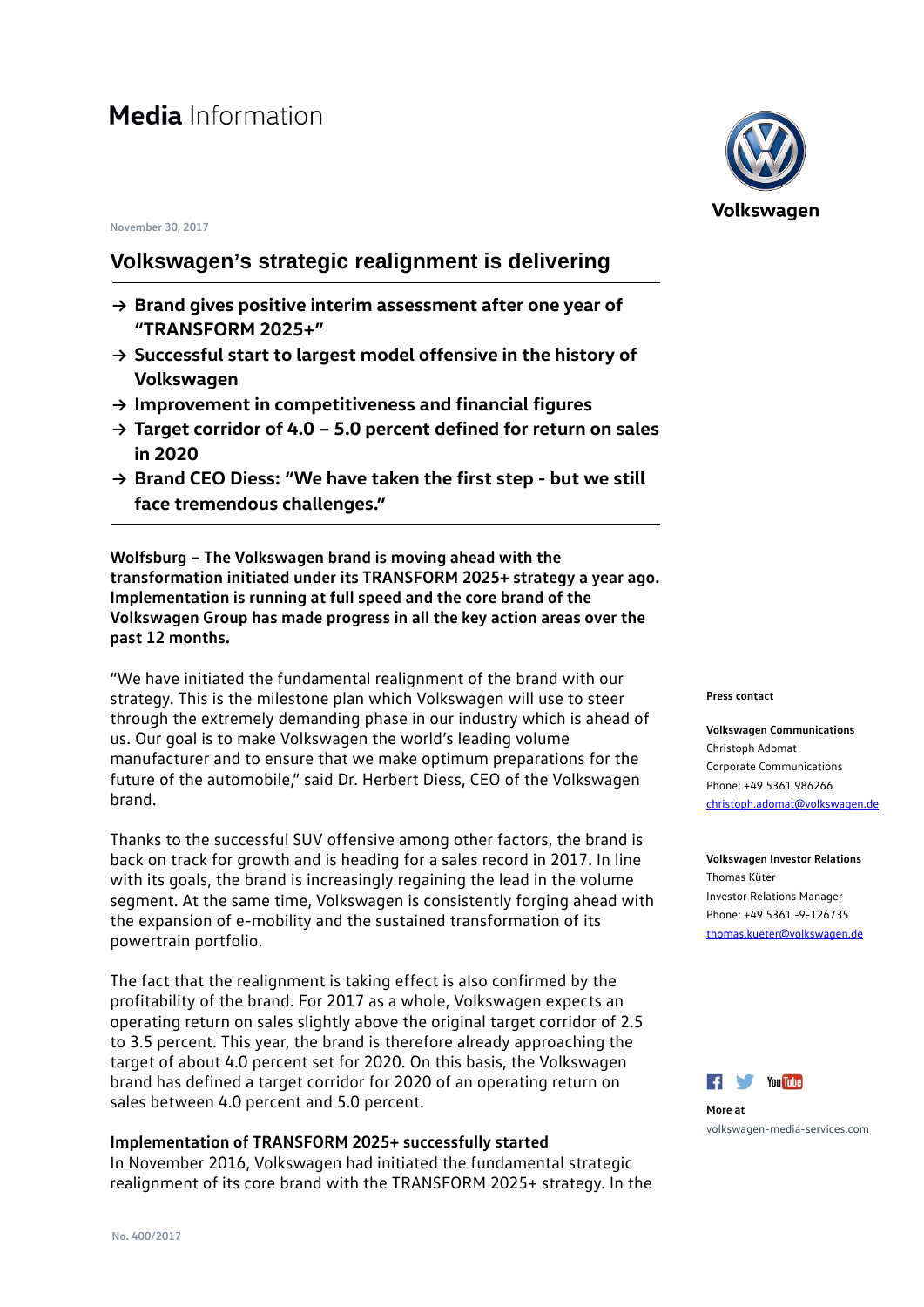#### **November 30, 2017**

## **Volkswagen's strategic realignment is delivering**

- **→ Brand gives positive interim assessment after one year of "TRANSFORM 2025+"**
- **→ Successful start to largest model offensive in the history of Volkswagen**
- **→ Improvement in competitiveness and financial figures**
- **→ Target corridor of 4.0 5.0 percent defined for return on sales in 2020**
- **→ Brand CEO Diess: "We have taken the first step but we still face tremendous challenges."**

**Wolfsburg – The Volkswagen brand is moving ahead with the transformation initiated under its TRANSFORM 2025+ strategy a year ago. Implementation is running at full speed and the core brand of the Volkswagen Group has made progress in all the key action areas over the past 12 months.**

"We have initiated the fundamental realignment of the brand with our strategy. This is the milestone plan which Volkswagen will use to steer through the extremely demanding phase in our industry which is ahead of us. Our goal is to make Volkswagen the world's leading volume manufacturer and to ensure that we make optimum preparations for the future of the automobile," said Dr. Herbert Diess, CEO of the Volkswagen brand.

Thanks to the successful SUV offensive among other factors, the brand is back on track for growth and is heading for a sales record in 2017. In line with its goals, the brand is increasingly regaining the lead in the volume segment. At the same time, Volkswagen is consistently forging ahead with the expansion of e-mobility and the sustained transformation of its powertrain portfolio.

The fact that the realignment is taking effect is also confirmed by the profitability of the brand. For 2017 as a whole, Volkswagen expects an operating return on sales slightly above the original target corridor of 2.5 to 3.5 percent. This year, the brand is therefore already approaching the target of about 4.0 percent set for 2020. On this basis, the Volkswagen brand has defined a target corridor for 2020 of an operating return on sales between 4.0 percent and 5.0 percent.

#### **Implementation of TRANSFORM 2025+ successfully started**

In November 2016, Volkswagen had initiated the fundamental strategic realignment of its core brand with the TRANSFORM 2025+ strategy. In the



#### **Press contact**

**Volkswagen Communications** Christoph Adomat Corporate Communications Phone: +49 5361 986266 [christoph.adomat@volkswagen.de](mailto:christoph.adomat@volkswagen.de)

**Volkswagen Investor Relations** Thomas Küter Investor Relations Manager Phone: +49 5361 -9-126735 thomas.kueter@volkswagen.de



**More at** [volkswagen-media-services.com](https://www.volkswagen-media-services.com/)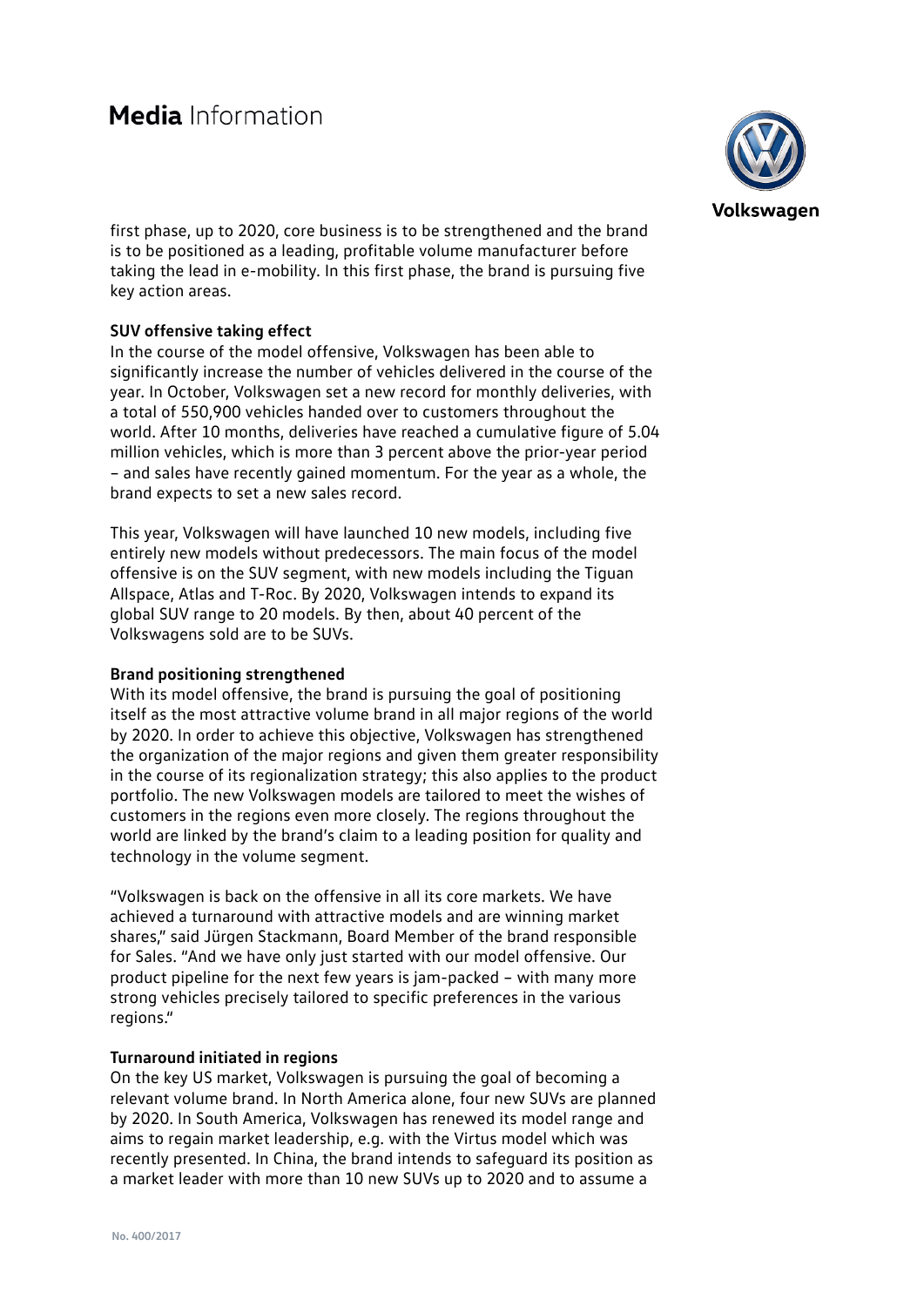

first phase, up to 2020, core business is to be strengthened and the brand is to be positioned as a leading, profitable volume manufacturer before taking the lead in e-mobility. In this first phase, the brand is pursuing five key action areas.

### **SUV offensive taking effect**

In the course of the model offensive, Volkswagen has been able to significantly increase the number of vehicles delivered in the course of the year. In October, Volkswagen set a new record for monthly deliveries, with a total of 550,900 vehicles handed over to customers throughout the world. After 10 months, deliveries have reached a cumulative figure of 5.04 million vehicles, which is more than 3 percent above the prior-year period – and sales have recently gained momentum. For the year as a whole, the brand expects to set a new sales record.

This year, Volkswagen will have launched 10 new models, including five entirely new models without predecessors. The main focus of the model offensive is on the SUV segment, with new models including the Tiguan Allspace, Atlas and T-Roc. By 2020, Volkswagen intends to expand its global SUV range to 20 models. By then, about 40 percent of the Volkswagens sold are to be SUVs.

### **Brand positioning strengthened**

With its model offensive, the brand is pursuing the goal of positioning itself as the most attractive volume brand in all major regions of the world by 2020. In order to achieve this objective, Volkswagen has strengthened the organization of the major regions and given them greater responsibility in the course of its regionalization strategy; this also applies to the product portfolio. The new Volkswagen models are tailored to meet the wishes of customers in the regions even more closely. The regions throughout the world are linked by the brand's claim to a leading position for quality and technology in the volume segment.

"Volkswagen is back on the offensive in all its core markets. We have achieved a turnaround with attractive models and are winning market shares," said Jürgen Stackmann, Board Member of the brand responsible for Sales. "And we have only just started with our model offensive. Our product pipeline for the next few years is jam-packed – with many more strong vehicles precisely tailored to specific preferences in the various regions."

### **Turnaround initiated in regions**

On the key US market, Volkswagen is pursuing the goal of becoming a relevant volume brand. In North America alone, four new SUVs are planned by 2020. In South America, Volkswagen has renewed its model range and aims to regain market leadership, e.g. with the Virtus model which was recently presented. In China, the brand intends to safeguard its position as a market leader with more than 10 new SUVs up to 2020 and to assume a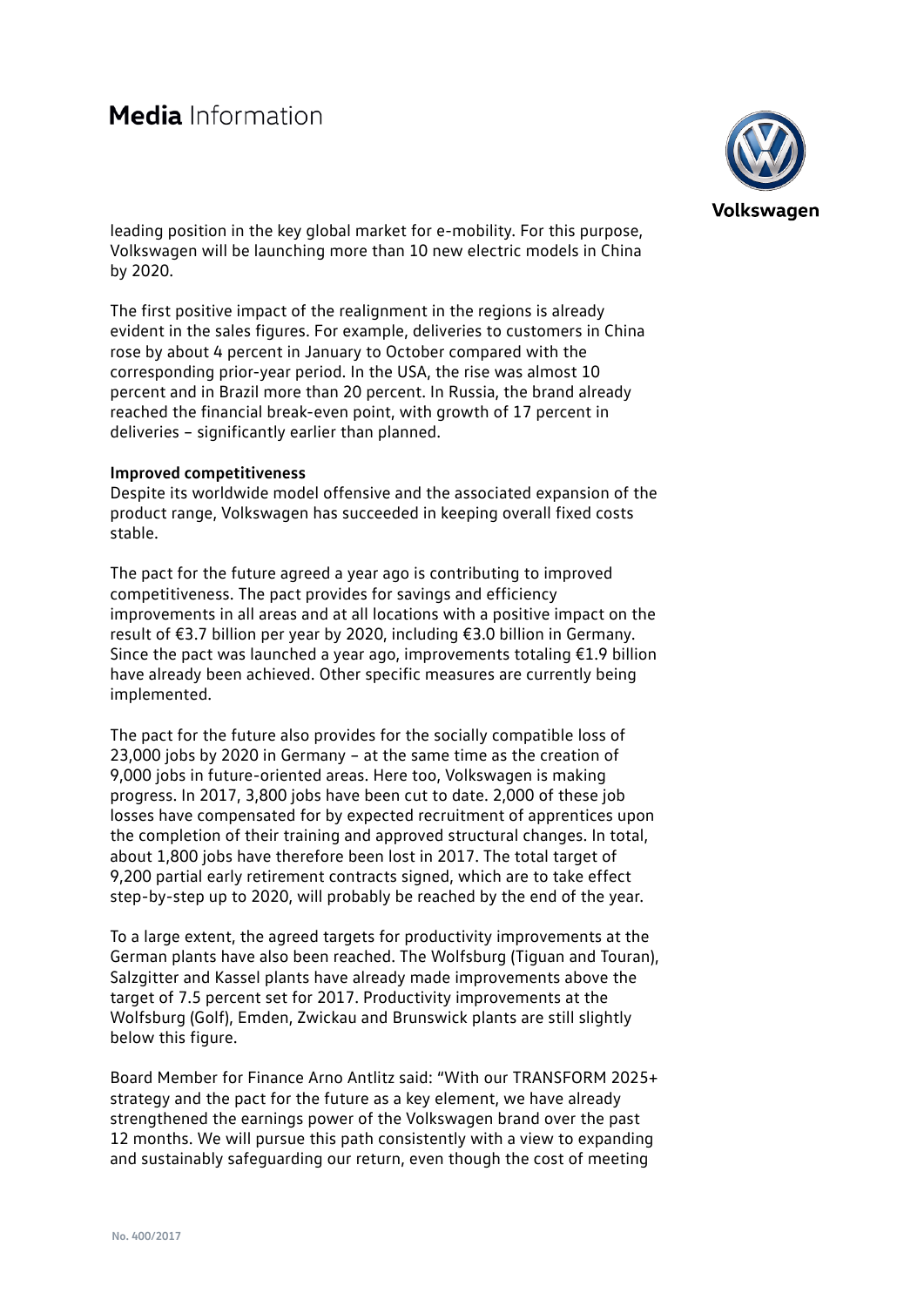## Media Information



leading position in the key global market for e-mobility. For this purpose, Volkswagen will be launching more than 10 new electric models in China by 2020.

The first positive impact of the realignment in the regions is already evident in the sales figures. For example, deliveries to customers in China rose by about 4 percent in January to October compared with the corresponding prior-year period. In the USA, the rise was almost 10 percent and in Brazil more than 20 percent. In Russia, the brand already reached the financial break-even point, with growth of 17 percent in deliveries – significantly earlier than planned.

#### **Improved competitiveness**

Despite its worldwide model offensive and the associated expansion of the product range, Volkswagen has succeeded in keeping overall fixed costs stable.

The pact for the future agreed a year ago is contributing to improved competitiveness. The pact provides for savings and efficiency improvements in all areas and at all locations with a positive impact on the result of €3.7 billion per year by 2020, including €3.0 billion in Germany. Since the pact was launched a year ago, improvements totaling €1.9 billion have already been achieved. Other specific measures are currently being implemented.

The pact for the future also provides for the socially compatible loss of 23,000 jobs by 2020 in Germany – at the same time as the creation of 9,000 jobs in future-oriented areas. Here too, Volkswagen is making progress. In 2017, 3,800 jobs have been cut to date. 2,000 of these job losses have compensated for by expected recruitment of apprentices upon the completion of their training and approved structural changes. In total, about 1,800 jobs have therefore been lost in 2017. The total target of 9,200 partial early retirement contracts signed, which are to take effect step-by-step up to 2020, will probably be reached by the end of the year.

To a large extent, the agreed targets for productivity improvements at the German plants have also been reached. The Wolfsburg (Tiguan and Touran), Salzgitter and Kassel plants have already made improvements above the target of 7.5 percent set for 2017. Productivity improvements at the Wolfsburg (Golf), Emden, Zwickau and Brunswick plants are still slightly below this figure.

Board Member for Finance Arno Antlitz said: "With our TRANSFORM 2025+ strategy and the pact for the future as a key element, we have already strengthened the earnings power of the Volkswagen brand over the past 12 months. We will pursue this path consistently with a view to expanding and sustainably safeguarding our return, even though the cost of meeting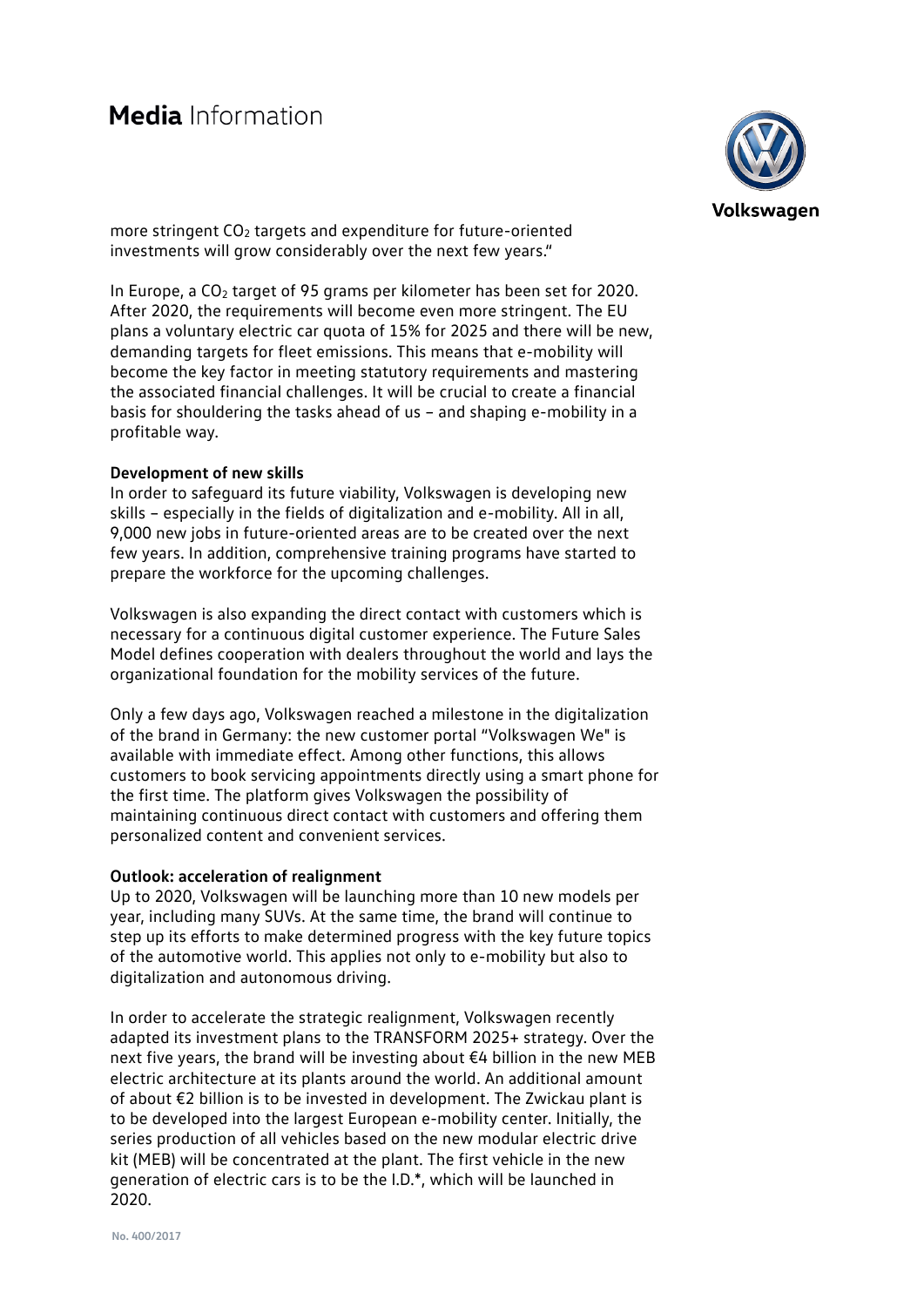# Media Information



more stringent CO<sub>2</sub> targets and expenditure for future-oriented investments will grow considerably over the next few years."

In Europe, a  $CO<sub>2</sub>$  target of 95 grams per kilometer has been set for 2020. After 2020, the requirements will become even more stringent. The EU plans a voluntary electric car quota of 15% for 2025 and there will be new, demanding targets for fleet emissions. This means that e-mobility will become the key factor in meeting statutory requirements and mastering the associated financial challenges. It will be crucial to create a financial basis for shouldering the tasks ahead of us – and shaping e-mobility in a profitable way.

#### **Development of new skills**

In order to safeguard its future viability, Volkswagen is developing new skills – especially in the fields of digitalization and e-mobility. All in all, 9,000 new jobs in future-oriented areas are to be created over the next few years. In addition, comprehensive training programs have started to prepare the workforce for the upcoming challenges.

Volkswagen is also expanding the direct contact with customers which is necessary for a continuous digital customer experience. The Future Sales Model defines cooperation with dealers throughout the world and lays the organizational foundation for the mobility services of the future.

Only a few days ago, Volkswagen reached a milestone in the digitalization of the brand in Germany: the new customer portal "Volkswagen We" is available with immediate effect. Among other functions, this allows customers to book servicing appointments directly using a smart phone for the first time. The platform gives Volkswagen the possibility of maintaining continuous direct contact with customers and offering them personalized content and convenient services.

#### **Outlook: acceleration of realignment**

Up to 2020, Volkswagen will be launching more than 10 new models per year, including many SUVs. At the same time, the brand will continue to step up its efforts to make determined progress with the key future topics of the automotive world. This applies not only to e-mobility but also to digitalization and autonomous driving.

In order to accelerate the strategic realignment, Volkswagen recently adapted its investment plans to the TRANSFORM 2025+ strategy. Over the next five years, the brand will be investing about €4 billion in the new MEB electric architecture at its plants around the world. An additional amount of about €2 billion is to be invested in development. The Zwickau plant is to be developed into the largest European e-mobility center. Initially, the series production of all vehicles based on the new modular electric drive kit (MEB) will be concentrated at the plant. The first vehicle in the new generation of electric cars is to be the I.D.\*, which will be launched in 2020.